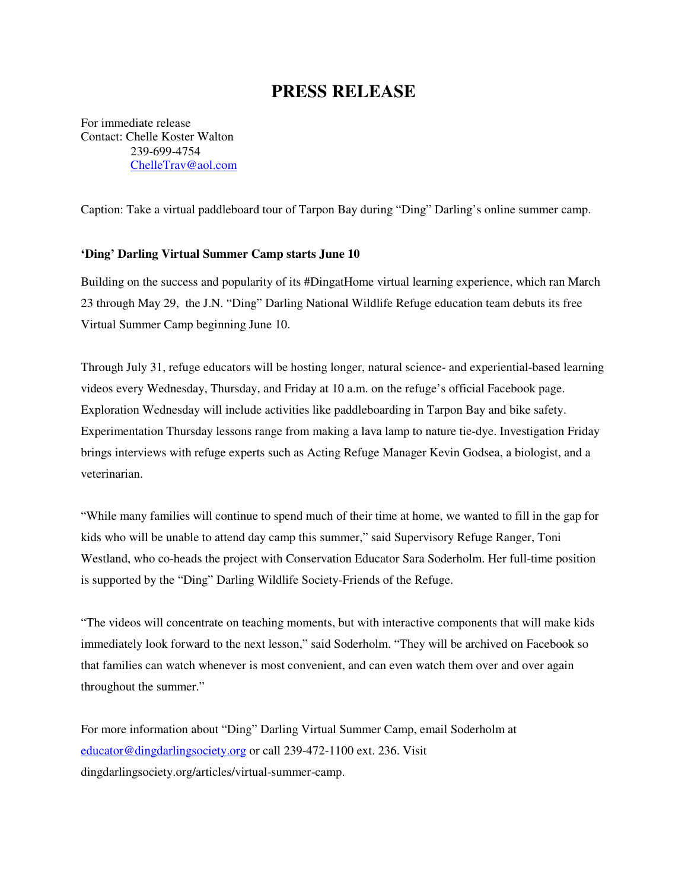## **PRESS RELEASE**

For immediate release Contact: Chelle Koster Walton 239-699-4754 ChelleTrav@aol.com

Caption: Take a virtual paddleboard tour of Tarpon Bay during "Ding" Darling's online summer camp.

## **'Ding' Darling Virtual Summer Camp starts June 10**

Building on the success and popularity of its #DingatHome virtual learning experience, which ran March 23 through May 29, the J.N. "Ding" Darling National Wildlife Refuge education team debuts its free Virtual Summer Camp beginning June 10.

Through July 31, refuge educators will be hosting longer, natural science- and experiential-based learning videos every Wednesday, Thursday, and Friday at 10 a.m. on the refuge's official Facebook page. Exploration Wednesday will include activities like paddleboarding in Tarpon Bay and bike safety. Experimentation Thursday lessons range from making a lava lamp to nature tie-dye. Investigation Friday brings interviews with refuge experts such as Acting Refuge Manager Kevin Godsea, a biologist, and a veterinarian.

"While many families will continue to spend much of their time at home, we wanted to fill in the gap for kids who will be unable to attend day camp this summer," said Supervisory Refuge Ranger, Toni Westland, who co-heads the project with Conservation Educator Sara Soderholm. Her full-time position is supported by the "Ding" Darling Wildlife Society-Friends of the Refuge.

"The videos will concentrate on teaching moments, but with interactive components that will make kids immediately look forward to the next lesson," said Soderholm. "They will be archived on Facebook so that families can watch whenever is most convenient, and can even watch them over and over again throughout the summer."

For more information about "Ding" Darling Virtual Summer Camp, email Soderholm at educator@dingdarlingsociety.org or call 239-472-1100 ext. 236. Visit dingdarlingsociety.org/articles/virtual-summer-camp.